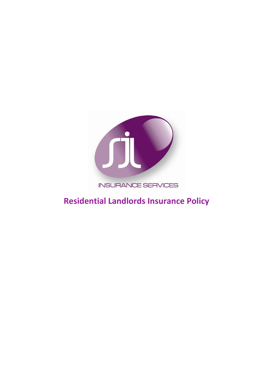

## **INSURANCE SERVICES**

# **Residential Landlords Insurance Policy**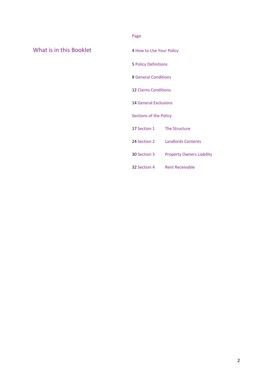## What is in this Booklet 4 How to Use Your Policy

Page

5 Policy Definitions

8 General Conditions

12 Claims Conditions

14 General Exclusions

Sections of the Policy

17 Section 1 The Structure

24 Section 2 Landlords Contents

30 Section 3 Property Owners Liability

32 Section 4 Rent Receivable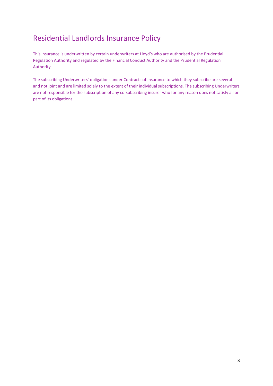## Residential Landlords Insurance Policy

This insurance is underwritten by certain underwriters at Lloyd's who are authorised by the Prudential Regulation Authority and regulated by the Financial Conduct Authority and the Prudential Regulation Authority.

The subscribing Underwriters' obligations under Contracts of Insurance to which they subscribe are several and not joint and are limited solely to the extent of their individual subscriptions. The subscribing Underwriters are not responsible for the subscription of any co-subscribing insurer who for any reason does not satisfy all or part of its obligations.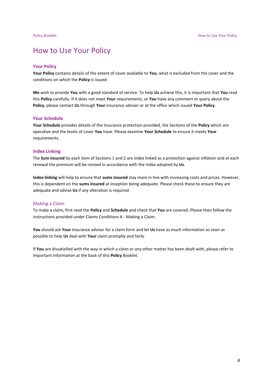## How to Use Your Policy

#### **Your Policy**

**Your Policy** contains details of the extent of cover available to **You**, what is excluded from the cover and the conditions on which the **Policy** is issued.

**We** wish to provide **You** with a good standard of service. To help **Us** achieve this, it is important that **You** read this **Policy** carefully. If it does not meet **Your** requirements, or **You** have any comment or query about the **Policy**, please contact **Us** through **Your** insurance adviser or at the office which issued **Your Policy**.

#### **Your Schedule**

**Your Schedule** provides details of the insurance protection provided, the Sections of the **Policy** which are operative and the levels of cover **You** have. Please examine **Your Schedule** to ensure it meets **Your** requirements.

#### **Index Linking**

The **Sum Insured** by each item of Sections 1 and 2 are index linked as a protection against inflation and at each renewal the premium will be revised in accordance with the index adopted by **Us**.

**Index linking** will help to ensure that **sums insured** stay more in line with increasing costs and prices. However, this is dependent on the **sums insured** at inception being adequate. Please check these to ensure they are adequate and advise **Us** if any alteration is required.

#### Making a Claim

To make a claim, first read the **Policy** and **Schedule** and check that **You** are covered. Please then follow the instructions provided under Claims Conditions A - Making a Claim.

**You** should ask **Your** insurance adviser for a claim form and let **Us** have as much information as soon as possible to help **Us** deal with **Your** claim promptly and fairly.

If **You** are dissatisfied with the way in which a claim or any other matter has been dealt with, please refer to Important Information at the back of this **Policy** Booklet.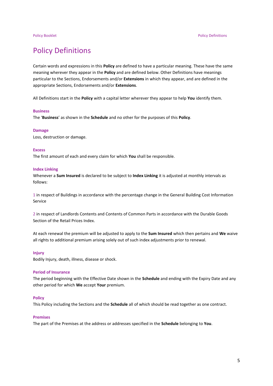## Policy Definitions

Certain words and expressions in this **Policy** are defined to have a particular meaning. These have the same meaning wherever they appear in the **Policy** and are defined below. Other Definitions have meanings particular to the Sections, Endorsements and/or **Extensions** in which they appear, and are defined in the appropriate Sections, Endorsements and/or **Extensions**.

All Definitions start in the **Policy** with a capital letter wherever they appear to help **You** identify them.

#### **Business**

The '**Business**' as shown in the **Schedule** and no other for the purposes of this **Policy**.

#### **Damage**

Loss, destruction or damage.

#### **Excess**

The first amount of each and every claim for which **You** shall be responsible.

#### **Index Linking**

Whenever a **Sum Insured** is declared to be subject to **Index Linking** it is adjusted at monthly intervals as follows:

1 in respect of Buildings in accordance with the percentage change in the General Building Cost Information Service

2 in respect of Landlords Contents and Contents of Common Parts in accordance with the Durable Goods Section of the Retail Prices Index.

At each renewal the premium will be adjusted to apply to the **Sum Insured** which then pertains and **We** waive all rights to additional premium arising solely out of such index adjustments prior to renewal.

#### **Injury**

Bodily Injury, death, illness, disease or shock.

#### **Period of Insurance**

The period beginning with the Effective Date shown in the **Schedule** and ending with the Expiry Date and any other period for which **We** accept **Your** premium.

#### **Policy**

This Policy including the Sections and the **Schedule** all of which should be read together as one contract.

#### **Premises**

The part of the Premises at the address or addresses specified in the **Schedule** belonging to **You**.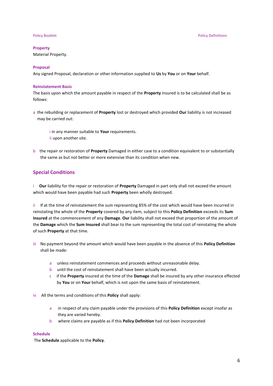#### **Property**

Material Property.

### **Proposal**

Any signed Proposal, declaration or other information supplied to **Us** by **You** or on **Your** behalf.

#### **Reinstatement Basis**

The basis upon which the amount payable in respect of the **Property** insured is to be calculated shall be as follows:

a the rebuilding or replacement of **Property** lost or destroyed which provided **Our** liability is not increased may be carried out:

i in any manner suitable to **Your** requirements. ii upon another site.

b the repair or restoration of **Property** Damaged in either case to a condition equivalent to or substantially the same as but not better or more extensive than its condition when new.

### **Special Conditions**

i **Our** liability for the repair or restoration of **Property** Damaged in part only shall not exceed the amount which would have been payable had such **Property** been wholly destroyed.

ii If at the time of reinstatement the sum representing 85% of the cost which would have been incurred in reinstating the whole of the **Property** covered by any item, subject to this **Policy Definition** exceeds its **Sum Insured** at the commencement of any **Damage**. **Our** liability shall not exceed that proportion of the amount of the **Damage** which the **Sum Insured** shall bear to the sum representing the total cost of reinstating the whole of such **Property** at that time.

- iii No payment beyond the amount which would have been payable in the absence of this **Policy Definition** shall be made:
	- a unless reinstatement commences and proceeds without unreasonable delay.
	- b until the cost of reinstatement shall have been actually incurred.
	- c if the **Property** insured at the time of the **Damage** shall be insured by any other insurance effected by **You** or on **Your** behalf, which is not upon the same basis of reinstatement.
- iv All the terms and conditions of this **Policy** shall apply:
	- a in respect of any claim payable under the provisions of this **Policy Definition** except insofar as they are varied hereby.
	- b where claims are payable as if this **Policy Definition** had not been incorporated

#### **Schedule**

The **Schedule** applicable to the **Policy**.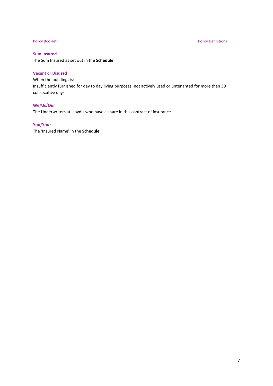### **Sum Insured**

The Sum Insured as set out in the **Schedule**.

### **Vacant** or **Disused**

When the buildings is: Insufficiently furnished for day to day living purposes, not actively used or untenanted for more than 30 consecutive days.

### **We**/**Us**/**Our**

The Underwriters at Lloyd's who have a share in this contract of insurance.

#### **You**/**Your**

The 'Insured Name' in the **Schedule**.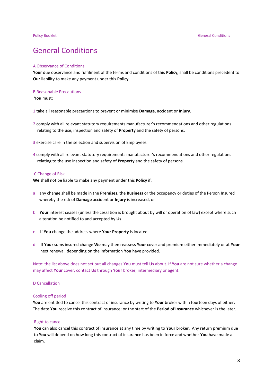## General Conditions

#### A Observance of Conditions

**Your** due observance and fulfilment of the terms and conditions of this **Policy,** shall be conditions precedent to **Our** liability to make any payment under this **Policy**.

#### B Reasonable Precautions

**You** must:

- 1 take all reasonable precautions to prevent or minimise **Damage**, accident or **Injury.**
- 2 comply with all relevant statutory requirements manufacturer's recommendations and other regulations relating to the use, inspection and safety of **Property** and the safety of persons.
- 3 exercise care in the selection and supervision of Employees
- 4 comply with all relevant statutory requirements manufacturer's recommendations and other regulations relating to the use inspection and safety of **Property** and the safety of persons.

#### C Change of Risk

**We** shall not be liable to make any payment under this **Policy** if:

- a any change shall be made in the **Premises,** the **Business** or the occupancy or duties of the Person Insured whereby the risk of **Damage** accident or **Injury** is increased, or
- b **Your** interest ceases (unless the cessation is brought about by will or operation of law) except where such alteration be notified to and accepted by **Us**.
- c If **You** change the address where **Your Property** is located
- d If **Your** sums insured change **We** may then reassess **Your** cover and premium either immediately or at **Your** next renewal, depending on the information **You** have provided.

Note: the list above does not set out all changes **You** must tell **Us** about. If **You** are not sure whether a change may affect **Your** cover, contact **Us** through **Your** broker, intermediary or agent.

#### D Cancellation

#### Cooling off period

 **You** are entitled to cancel this contract of insurance by writing to **Your** broker within fourteen days of either: The date **You** receive this contract of insurance; or the start of the **Period of Insurance** whichever is the later.

#### Right to cancel

 **You** can also cancel this contract of insurance at any time by writing to **Your** broker. Any return premium due to **You** will depend on how long this contract of insurance has been in force and whether **You** have made a claim.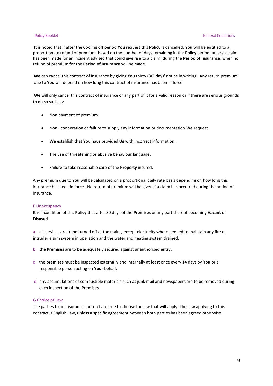#### **Policy Booklet** General Conditions **Conditions General Conditions**

It is noted that if after the Cooling off period **You** request this **Policy** is cancelled, **You** will be entitled to a proportionate refund of premium, based on the number of days remaining in the **Policy** period, unless a claim has been made (or an incident advised that could give rise to a claim) during the **Period of Insurance,** when no refund of premium for the **Period of Insurance** will be made.

 **We** can cancel this contract of insurance by giving **You** thirty (30) days' notice in writing. Any return premium due to **You** will depend on how long this contract of insurance has been in force.

**We** will only cancel this contract of insurance or any part of it for a valid reason or if there are serious grounds to do so such as:

- Non payment of premium.
- Non –cooperation or failure to supply any information or documentation **We** request.
- **We** establish that **You** have provided **Us** with incorrect information.
- The use of threatening or abusive behaviour language.
- Failure to take reasonable care of the **Property** insured.

 Any premium due to **You** will be calculated on a proportional daily rate basis depending on how long this insurance has been in force. No return of premium will be given if a claim has occurred during the period of insurance.

#### F Unoccupancy

It is a condition of this **Policy** that after 30 days of the **Premises** or any part thereof becoming **Vacant** or **Disused**.

a all services are to be turned off at the mains, except electricity where needed to maintain any fire or intruder alarm system in operation and the water and heating system drained.

- b the **Premises** are to be adequately secured against unauthorised entry.
- c the **premises** must be inspected externally and internally at least once every 14 days by **You** or a responsible person acting on **Your** behalf.
- d any accumulations of combustible materials such as junk mail and newspapers are to be removed during each inspection of the **Premises**.

### G Choice of Law

The parties to an Insurance contract are free to choose the law that will apply. The Law applying to this contract is English Law, unless a specific agreement between both parties has been agreed otherwise.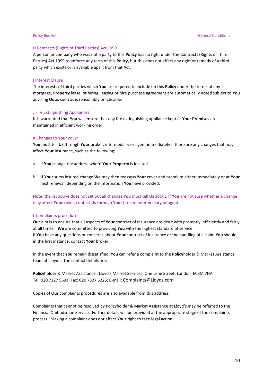#### H Contracts (Rights of Third Parties) Act 1999

A person or company who was not a party to this **Policy** has no right under the Contracts (Rights of Third Parties) Act 1999 to enforce any term of this **Policy,** but this does not affect any right or remedy of a third party which exists or is available apart from that Act.

#### I Interest Clause

The interests of third parties which **You** are required to include on this **Policy** under the terms of any mortgage, **Property** lease, or hiring, leasing or hire purchase agreement are automatically noted subject to **You** advising **Us** as soon as is reasonably practicable.

#### J Fire Extinguishing Appliances

It is warranted that **You** will ensure that any fire extinguishing appliance kept at **Your Premises** are maintained in efficient working order.

#### K Changes to **Your** cover

**You** must tell **Us** through **Your** broker, intermediary or agent immediately if there are any changes that may affect **Your** insurance, such as the following:

- a If **You** change the address where **Your Property** is located.
- b If **Your** sums insured change **We** may then reassess **Your** cover and premium either immediately or at **Your** next renewal, depending on the information **You** have provided.

Note: the list above does not set out all changes **You** must tell **Us** about. If **You** are not sure whether a change may affect **Your** cover, contact **Us** through **Your** broker, intermediary or agent.

#### L Complaints procedure

**Our** aim is to ensure that all aspects of **Your** contract of insurance are dealt with promptly, efficiently and fairly at all times. **We** are committed to providing **You** with the highest standard of service. If **You** have any questions or concerns about **Your** contract of insurance or the handling of a claim **You** should, in the first instance, contact **Your** broker.

In the event that **You** remain dissatisfied, **You** can refer a complaint to the **Policy**holder & Market Assistance team at Lloyd's. The contact details are:

**Policy**holder & Market Assistance , Lloyd's Market Services, One Lime Street, London EC3M 7HA Tel: 020 7327 5693; Fax: 020 7327 5225; E-mail: [Complaints@Lloyds.com](mailto:Lloyds-Regulatory-Complaints@Lloyds.com)

Copies of **Our** complaints procedures are also available from this address.

Complaints that cannot be resolved by Policyholder & Market Assistance at Lloyd's may be referred to the Financial Ombudsman Service. Further details will be provided at the appropriate stage of the complaints process. Making a complaint does not affect **Your** right to take legal action.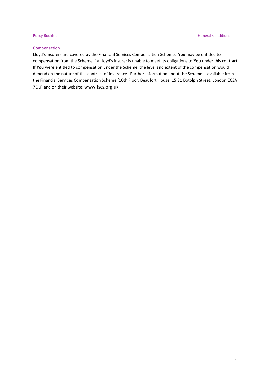### Compensation

Lloyd's insurers are covered by the Financial Services Compensation Scheme. **You** may be entitled to compensation from the Scheme if a Lloyd's insurer is unable to meet its obligations to **You** under this contract. If **You** were entitled to compensation under the Scheme, the level and extent of the compensation would depend on the nature of this contract of insurance. Further Information about the Scheme is available from the Financial Services Compensation Scheme (10th Floor, Beaufort House, 15 St. Botolph Street, London EC3A 7QU) and on their website: [www.fscs.org.uk](http://www.fscs.org.uk/)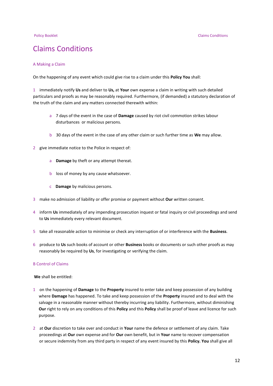## Claims Conditions

#### A Making a Claim

On the happening of any event which could give rise to a claim under this **Policy You** shall:

1 immediately notify **Us** and deliver to **Us,** at **Your** own expense a claim in writing with such detailed particulars and proofs as may be reasonably required. Furthermore, (if demanded) a statutory declaration of the truth of the claim and any matters connected therewith within:

- a 7 days of the event in the case of **Damage** caused by riot civil commotion strikes labour disturbances or malicious persons.
- b 30 days of the event in the case of any other claim or such further time as **We** may allow.
- 2 give immediate notice to the Police in respect of:
	- a **Damage** by theft or any attempt thereat.
	- b loss of money by any cause whatsoever.
	- c **Damage** by malicious persons.
- 3 make no admission of liability or offer promise or payment without **Our** written consent.
- 4 inform **Us** immediately of any impending prosecution inquest or fatal inquiry or civil proceedings and send to **Us** immediately every relevant document.
- 5 take all reasonable action to minimise or check any interruption of or interference with the **Business**.
- 6 produce to **Us** such books of account or other **Business** books or documents or such other proofs as may reasonably be required by **Us**, for investigating or verifying the claim.

#### B Control of Claims

**We** shall be entitled:

- 1 on the happening of **Damage** to the **Property** insured to enter take and keep possession of any building where **Damage** has happened. To take and keep possession of the **Property** insured and to deal with the salvage in a reasonable manner without thereby incurring any liability. Furthermore, without diminishing **Our** right to rely on any conditions of this **Policy** and this **Policy** shall be proof of leave and licence for such purpose.
- 2 at **Our** discretion to take over and conduct in **Your** name the defence or settlement of any claim. Take proceedings at **Our** own expense and for **Our** own benefit, but in **Your** name to recover compensation or secure indemnity from any third party in respect of any event insured by this **Policy. You** shall give all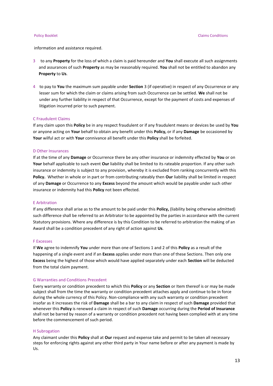information and assistance required.

- 3 to any **Property** for the loss of which a claim is paid hereunder and **You** shall execute all such assignments and assurances of such **Property** as may be reasonably required. **You** shall not be entitled to abandon any **Property** to **Us**.
- 4 to pay to **You** the maximum sum payable under **Section** 3 (if operative) in respect of any Occurrence or any lesser sum for which the claim or claims arising from such Occurrence can be settled. **We** shall not be under any further liability in respect of that Occurrence, except for the payment of costs and expenses of litigation incurred prior to such payment.

#### C Fraudulent Claims

If any claim upon this **Policy** be in any respect fraudulent or if any fraudulent means or devices be used by **You** or anyone acting on **Your** behalf to obtain any benefit under this **Policy,** or if any **Damage** be occasioned by **Your** wilful act or with **Your** connivance all benefit under this **Policy** shall be forfeited.

#### D Other Insurances

If at the time of any **Damage** or Occurrence there be any other insurance or indemnity effected by **You** or on **Your** behalf applicable to such event **Our** liability shall be limited to its rateable proportion. If any other such insurance or indemnity is subject to any provision, whereby it is excluded from ranking concurrently with this **Policy.** Whether in whole or in part or from contributing rateably then **Our** liability shall be limited in respect of any **Damage** or Occurrence to any **Excess** beyond the amount which would be payable under such other insurance or indemnity had this **Policy** not been effected.

#### E Arbitration

If any difference shall arise as to the amount to be paid under this **Policy,** (liability being otherwise admitted) such difference shall be referred to an Arbitrator to be appointed by the parties in accordance with the current Statutory provisions. Where any difference is by this Condition to be referred to arbitration the making of an Award shall be a condition precedent of any right of action against **Us**.

#### F Excesses

If **We** agree to indemnify **You** under more than one of Sections 1 and 2 of this **Policy** as a result of the happening of a single event and if an **Excess** applies under more than one of these Sections. Then only one **Excess** being the highest of those which would have applied separately under each **Section** will be deducted from the total claim payment.

#### G Warranties and Conditions Precedent

Every warranty or condition precedent to which this **Policy** or any **Section** or Item thereof is or may be made subject shall from the time the warranty or condition precedent attaches apply and continue to be in force during the whole currency of this Policy. Non-compliance with any such warranty or condition precedent insofar as it increases the risk of **Damage** shall be a bar to any claim in respect of such **Damage** provided that whenever this **Policy** is renewed a claim in respect of such **Damage** occurring during the **Period of Insurance** shall not be barred by reason of a warranty or condition precedent not having been complied with at any time before the commencement of such period.

#### H Subrogation

Any claimant under this **Policy** shall at **Our** request and expense take and permit to be taken all necessary steps for enforcing rights against any other third party in Your name before or after any payment is made by Us.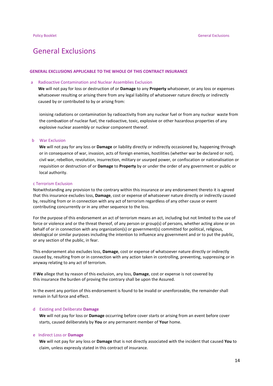## General Exclusions

#### **GENERAL EXCLUSIONS APPLICABLE TO THE WHOLE OF THIS CONTRACT INSURANCE**

#### a Radioactive Contamination and Nuclear Assemblies Exclusion

 **We** will not pay for loss or destruction of or **Damage** to any **Property** whatsoever, or any loss or expenses whatsoever resulting or arising there from any legal liability of whatsoever nature directly or indirectly caused by or contributed to by or arising from:

 ionising radiations or contamination by radioactivity from any nuclear fuel or from any nuclear waste from the combu**s**tion of nuclear fuel, the radioactive, toxic, explosive or other hazardous properties of any explosive nuclear assembly or nuclear component thereof.

#### b War Exclusion

 **We** will not pay for any loss or **Damage** or liability directly or indirectly occasioned by, happening through or in consequence of war, invasion, acts of foreign enemies, hostilities (whether war be declared or not), civil war, rebellion, revolution, insurrection, military or usurped power, or confiscation or nationalisation or requisition or destruction of or **Damage** to **Property** by or under the order of any government or public or local authority.

#### c Terrorism Exclusion

Notwithstanding any provision to the contrary within this insurance or any endorsement thereto it is agreed that this insurance excludes loss, **Damage**, cost or expense of whatsoever nature directly or indirectly caused by, resulting from or in connection with any act of terrorism regardless of any other cause or event contributing concurrently or in any other sequence to the loss.

For the purpose of this endorsement an act of terrorism means an act, including but not limited to the use of force or violence and or the threat thereof, of any person or group(s) of persons, whether acting alone or on behalf of or in connection with any organization(s) or government(s) committed for political, religious, ideological or similar purposes including the intention to influence any government and or to put the public, or any section of the public, in fear.

This endorsement also excludes loss, **Damage**, cost or expense of whatsoever nature directly or indirectly caused by, resulting from or in connection with any action taken in controlling, preventing, suppressing or in anyway relating to any act of terrorism.

If **We** allege that by reason of this exclusion, any loss, **Damage**, cost or expense is not covered by this insurance the burden of proving the contrary shall be upon the Assured.

In the event any portion of this endorsement is found to be invalid or unenforceable, the remainder shall remain in full force and effect.

#### d Existing and Deliberate **Damage**

 **We** will not pay for loss or **Damage** occurring before cover starts or arising from an event before cover starts, caused deliberately by **You** or any permanent member of **Your** home.

#### e Indirect Loss or **Damage**

 **We** will not pay for any loss or **Damage** that is not directly associated with the incident that caused **You** to claim, unless expressly stated in this contract of insurance.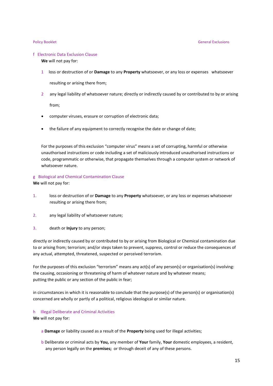#### f Electronic Data Exclusion Clause

**We** will not pay for:

1 loss or destruction of or **Damage** to any **Property** whatsoever, or any loss or expenses whatsoever

resulting or arising there from;

2 any legal liability of whatsoever nature; directly or indirectly caused by or contributed to by or arising

from;

- computer viruses, erasure or corruption of electronic data;
- the failure of any equipment to correctly recognise the date or change of date;

For the purposes of this exclusion "computer virus" means a set of corrupting, harmful or otherwise unauthorised instructions or code including a set of maliciously introduced unauthorised instructions or code, programmatic or otherwise, that propagate themselves through a computer system or network of whatsoever nature.

### g Biological and Chemical Contamination Clause **We** will not pay for:

- 1. loss or destruction of or **Damage** to any **Property** whatsoever, or any loss or expenses whatsoever resulting or arising there from;
- 2. any legal liability of whatsoever nature;
- 3. death or **Injury** to any person;

directly or indirectly caused by or contributed to by or arising from Biological or Chemical contamination due to or arising from; terrorism; and/or steps taken to prevent, suppress, control or reduce the consequences of any actual, attempted, threatened, suspected or perceived terrorism.

For the purposes of this exclusion "terrorism" means any act(s) of any person(s) or organisation(s) involving: the causing, occasioning or threatening of harm of whatever nature and by whatever means; putting the public or any section of the public in fear;

in circumstances in which it is reasonable to conclude that the purpose(s) of the person(s) or organisation(s) concerned are wholly or partly of a political, religious ideological or similar nature.

### h Illegal Deliberate and Criminal Activities

**We** will not pay for:

- a **Damage** or liability caused as a result of the **Property** being used for illegal activities;
- b Deliberate or criminal acts by **You,** any member of **Your** family, **Your** domestic employees, a resident, any person legally on the **premises;** or through deceit of any of these persons.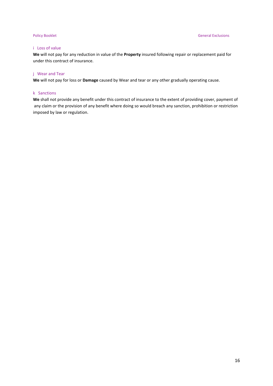### i Loss of value

**We** will not pay for any reduction in value of the **Property** insured following repair or replacement paid for under this contract of insurance.

### j Wear and Tear

**We** will not pay for loss or **Damage** caused by Wear and tear or any other gradually operating cause.

### k Sanctions

**We** shall not provide any benefit under this contract of insurance to the extent of providing cover, payment of any claim or the provision of any benefit where doing so would breach any sanction, prohibition or restriction imposed by law or regulation.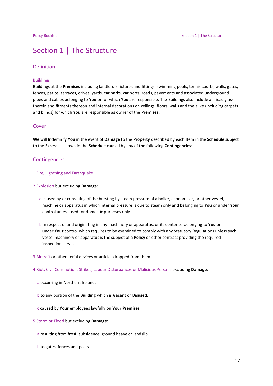## Section 1 | The Structure

#### Definition

#### Buildings

Buildings at the **Premises** including landlord's fixtures and fittings, swimming pools, tennis courts, walls, gates, fences, patios, terraces, drives, yards, car parks, car ports, roads, pavements and associated underground pipes and cables belonging to **You** or for which **You** are responsible. The Buildings also include all fixed glass therein and fitments thereon and internal decorations on ceilings, floors, walls and the alike (including carpets and blinds) for which **You** are responsible as owner of the **Premises**.

#### Cover

**We** will Indemnify **You** in the event of **Damage** to the **Property** described by each Item in the **Schedule** subject to the **Excess** as shown in the **Schedule** caused by any of the following **Contingencies**:

### **Contingencies**

### 1 Fire, Lightning and Earthquake

2 Explosion but excluding **Damage**:

- a caused by or consisting of the bursting by steam pressure of a boiler, economiser, or other vessel, machine or apparatus in which internal pressure is due to steam only and belonging to **You** or under **Your** control unless used for domestic purposes only.
- b in respect of and originating in any machinery or apparatus, or its contents, belonging to **You** or under **Your** control which requires to be examined to comply with any Statutory Regulations unless such vessel machinery or apparatus is the subject of a **Policy** or other contract providing the required inspection service.
- 3 Aircraft or other aerial devices or articles dropped from them.

4 Riot, Civil Commotion, Strikes, Labour Disturbances or Malicious Persons excluding **Damage**:

- a occurring in Northern Ireland.
- b to any portion of the **Building** which is **Vacant** or **Disused.**
- c caused by **Your** employees lawfully on **Your Premises.**
- 5 Storm or Flood but excluding **Damage**:
	- a resulting from frost, subsidence, ground heave or landslip.
	- b to gates, fences and posts.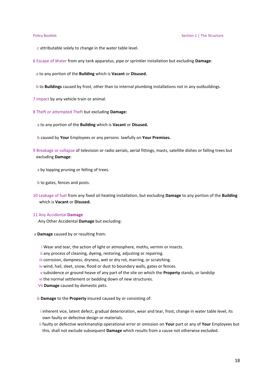- c attributable solely to change in the water table level.
- 6 Escape of Water from any tank apparatus, pipe or sprinkler installation but excluding **Damage**:
	- a to any portion of the **Building** which is **Vacant** or **Disused.**
- b to **Buildings** caused by frost, other than to internal plumbing installations not in any outbuildings.
- 7 Impact by any vehicle train or animal.
- 8 Theft or attempted Theft but excluding **Damage:**
	- a to any portion of the **Building** which is **Vacant** or **Disused.**
	- b caused by **Your** Employees or any persons lawfully on **Your Premises.**
- 9 Breakage or collapse of television or radio aerials, aerial fittings, masts, satellite dishes or falling trees but excluding **Damage**:
	- a by lopping pruning or felling of trees.
	- b to gates, fences and posts.
- 10 Leakage of fuel from any fixed oil heating installation, but excluding **Damage** to any portion of the **Building** which is **Vacant** or **Disused.**

#### 11 Any Accidental **Damage**

Any Other Accidental **Damage** but excluding:

- a **Damage** caused by or resulting from:
	- i Wear and tear, the action of light or atmosphere, moths, vermin or insects.
	- ii any process of cleaning, dyeing, restoring, adjusting or repairing.
	- iii corrosion, dampness, dryness, wet or dry rot, marring, or scratching.
	- iv wind, hail, sleet, snow, flood or dust to boundary walls, gates or fences.
	- v subsidence or ground heave of any part of the site on which the **Property** stands, or landslip
	- vi the normal settlement or bedding down of new structures.
	- Vii **Damage** caused by domestic pets.
	- b **Damage** to the **Property** insured caused by or consisting of:
	- i inherent vice, latent defect, gradual deterioration, wear and tear, frost, change in water table level, its own faulty or defective design or materials.
	- ii faulty or defective workmanship operational error or omission on **Your** part or any of **Your** Employees but this, shall not exclude subsequent **Damage** which results from a cause not otherwise excluded.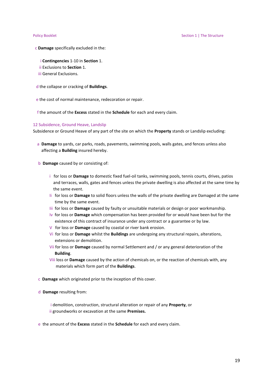- c **Damage** specifically excluded in the:
	- i **Contingencies** 1-10 in **Section** 1.
	- ii Exclusions to **Section** 1.
	- iii General Exclusions.
- d the collapse or cracking of **Buildings**.
- e the cost of normal maintenance, redecoration or repair.
- f the amount of the **Excess** stated in the **Schedule** for each and every claim.

#### 12 Subsidence, Ground Heave, Landslip

Subsidence or Ground Heave of any part of the site on which the **Property** stands or Landslip excluding:

- a **Damage** to yards, car parks, roads, pavements, swimming pools, walls gates, and fences unless also affecting a **Building** insured hereby.
- b **Damage** caused by or consisting of:
	- i for loss or **Damage** to domestic fixed fuel-oil tanks, swimming pools, tennis courts, drives, patios and terraces, walls, gates and fences unless the private dwelling is also affected at the same time by the same event.
	- Ii for loss or **Damage** to solid floors unless the walls of the private dwelling are Damaged at the same time by the same event.
	- Iii for loss or **Damage** caused by faulty or unsuitable materials or design or poor workmanship.
	- Iv for loss or **Damage** which compensation has been provided for or would have been but for the existence of this contract of insurance under any contract or a guarantee or by law.
	- V for loss or **Damage** caused by coastal or river bank erosion.
	- Vi for loss or **Damage** whilst the **Buildings** are undergoing any structural repairs, alterations, extensions or demolition.
	- Vii for loss or **Damage** caused by normal Settlement and / or any general deterioration of the **Building**.
	- Viii loss or **Damage** caused by the action of chemicals on, or the reaction of chemicals with, any materials which form part of the **Buildings**.
- c **Damage** which originated prior to the inception of this cover.
- d **Damage** resulting from:
	- i demolition, construction, structural alteration or repair of any **Property**, or ii groundworks or excavation at the same **Premises.**
- e the amount of the **Excess** stated in the **Schedule** for each and every claim.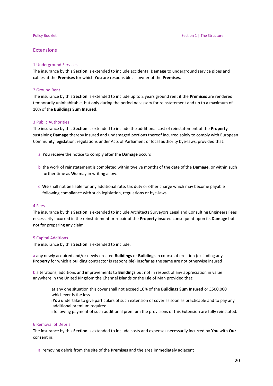#### Extensions

#### 1 Underground Services

The insurance by this **Section** is extended to include accidental **Damage** to underground service pipes and cables at the **Premises** for which **You** are responsible as owner of the **Premises**.

#### 2 Ground Rent

The insurance by this **Section** is extended to include up to 2 years ground rent if the **Premises** are rendered temporarily uninhabitable, but only during the period necessary for reinstatement and up to a maximum of 10% of the **Buildings Sum Insured**.

#### 3 Public Authorities

The insurance by this **Section** is extended to include the additional cost of reinstatement of the **Property** sustaining **Damage** thereby insured and undamaged portions thereof incurred solely to comply with European Community legislation, regulations under Acts of Parliament or local authority bye-laws, provided that:

- a **You** receive the notice to comply after the **Damage** occurs
- b the work of reinstatement is completed within twelve months of the date of the **Damage**, or within such further time as **We** may in writing allow.
- c **We** shall not be liable for any additional rate, tax duty or other charge which may become payable following compliance with such legislation, regulations or bye-laws.

#### 4 Fees

The insurance by this **Section** is extended to include Architects Surveyors Legal and Consulting Engineers Fees necessarily incurred in the reinstatement or repair of the **Property** insured consequent upon its **Damage** but not for preparing any claim.

#### 5 Capital Additions

The insurance by this **Section** is extended to include:

a any newly acquired and/or newly erected **Buildings** or **Buildings** in course of erection (excluding any **Property** for which a building contractor is responsible) insofar as the same are not otherwise insured

b alterations, additions and improvements to **Buildings** but not in respect of any appreciation in value anywhere in the United Kingdom the Channel Islands or the Isle of Man provided that:

- i at any one situation this cover shall not exceed 10% of the **Buildings Sum Insured** or £500,000 whichever is the less.
- ii **You** undertake to give particulars of such extension of cover as soon as practicable and to pay any additional premium required.
- iii following payment of such additional premium the provisions of this Extension are fully reinstated.

#### 6 Removal of Debris

The insurance by this **Section** is extended to include costs and expenses necessarily incurred by **You** with **Our** consent in:

a removing debris from the site of the **Premises** and the area immediately adjacent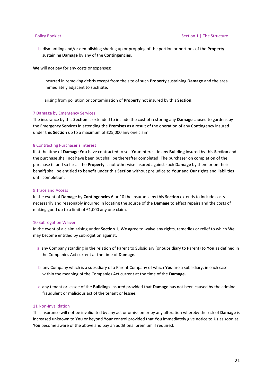b dismantling and/or demolishing shoring up or propping of the portion or portions of the **Property** sustaining **Damage** by any of the **Contingencies**.

**We** will not pay for any costs or expenses:

- i incurred in removing debris except from the site of such **Property** sustaining **Damage** and the area immediately adjacent to such site.
- ii arising from pollution or contamination of **Property** not insured by this **Section**.

#### 7 **Damage** by Emergency Services

The insurance by this **Section** is extended to include the cost of restoring any **Damage** caused to gardens by the Emergency Services in attending the **Premises** as a result of the operation of any Contingency insured under this **Section** up to a maximum of £25,000 any one claim.

#### 8 Contracting Purchaser's Interest

If at the time of **Damage You** have contracted to sell **Your** interest in any **Building** insured by this **Section** and the purchase shall not have been but shall be thereafter completed .The purchaser on completion of the purchase (if and so far as the **Property** is not otherwise insured against such **Damage** by them or on their behalf) shall be entitled to benefit under this **Section** without prejudice to **Your** and **Our** rights and liabilities until completion.

#### 9 Trace and Access

In the event of **Damage** by **Contingencies** 6 or 10 the insurance by this **Section** extends to include costs necessarily and reasonably incurred in locating the source of the **Damage** to effect repairs and the costs of making good up to a limit of £1,000 any one claim.

#### 10 Subrogation Waiver

In the event of a claim arising under **Section** 1, **We** agree to waive any rights, remedies or relief to which **We** may become entitled by subrogation against:

- a any Company standing in the relation of Parent to Subsidiary (or Subsidiary to Parent) to **You** as defined in the Companies Act current at the time of **Damage.**
- b any Company which is a subsidiary of a Parent Company of which **You** are a subsidiary, in each case within the meaning of the Companies Act current at the time of the **Damage.**
- c any tenant or lessee of the **Buildings** insured provided that **Damage** has not been caused by the criminal fraudulent or malicious act of the tenant or lessee.

#### 11 Non-Invalidation

This insurance will not be invalidated by any act or omission or by any alteration whereby the risk of **Damage** is increased unknown to **You** or beyond **Your** control provided that **You** immediately give notice to **Us** as soon as **You** become aware of the above and pay an additional premium if required.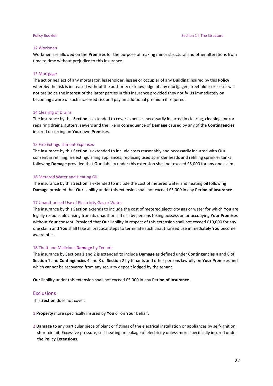### 12 Workmen

Workmen are allowed on the **Premises** for the purpose of making minor structural and other alterations from time to time without prejudice to this insurance.

#### 13 Mortgage

The act or neglect of any mortgagor, leaseholder, lessee or occupier of any **Building** insured by this **Policy** whereby the risk is increased without the authority or knowledge of any mortgagee, freeholder or lessor will not prejudice the interest of the latter parties in this insurance provided they notify **Us** immediately on becoming aware of such increased risk and pay an additional premium if required.

#### 14 Clearing of Drains

The insurance by this **Section** is extended to cover expenses necessarily incurred in clearing, cleaning and/or repairing drains, gutters, sewers and the like in consequence of **Damage** caused by any of the **Contingencies** insured occurring on **Your** own **Premises**.

#### 15 Fire Extinguishment Expenses

The insurance by this **Section** is extended to include costs reasonably and necessarily incurred with **Our** consent in refilling fire extinguishing appliances, replacing used sprinkler heads and refilling sprinkler tanks following **Damage** provided that **Our** liability under this extension shall not exceed £5,000 for any one claim.

#### 16 Metered Water and Heating Oil

The insurance by this **Section** is extended to include the cost of metered water and heating oil following **Damage** provided that **Our** liability under this extension shall not exceed £5,000 in any **Period of Insurance**.

#### 17 Unauthorised Use of Electricity Gas or Water

The insurance by this **Section** extends to include the cost of metered electricity gas or water for which **You** are legally responsible arising from its unauthorised use by persons taking possession or occupying **Your Premises** without **Your** consent. Provided that **Our** liability in respect of this extension shall not exceed £10,000 for any one claim and **You** shall take all practical steps to terminate such unauthorised use immediately **You** become aware of it.

#### 18 Theft and Malicious **Damage** by Tenants

The insurance by Sections 1 and 2 is extended to include **Damage** as defined under **Contingencies** 4 and 8 of **Section** 1 and **Contingencies** 4 and 8 of **Section** 2 by tenants and other persons lawfully on **Your Premises** and which cannot be recovered from any security deposit lodged by the tenant.

**Our** liability under this extension shall not exceed £5,000 in any **Period of Insurance**.

#### **Exclusions**

This **Section** does not cover:

1 **Property** more specifically insured by **You** or on **Your** behalf.

2 **Damage** to any particular piece of plant or fittings of the electrical installation or appliances by self-ignition, short circuit, Excessive pressure, self-heating or leakage of electricity unless more specifically insured under the **Policy Extensions.**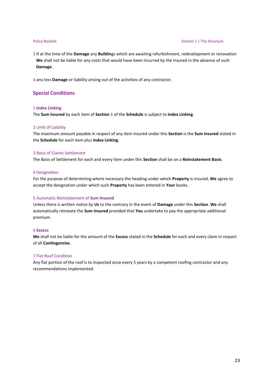#### Policy Booklet **Section 1** | The Structure

3 If at the time of the **Damage** any **Buildin**gs which are awaiting refurbishment, redevelopment or renovation **We** shall not be liable for any costs that would have been incurred by the Insured in the absence of such **Damage**.

4 any loss **Damage** or liability arising out of the activities of any contractor.

### **Special Conditions**

#### 1 **Index Linking**

The **Sum Insured** by each item of **Section** 1 of the **Schedule** is subject to **Index Linking**.

#### 2 Limit of Liability

The maximum amount payable in respect of any item insured under this **Section** is the **Sum Insured** stated in the **Schedule** for each item plus **Index Linking**.

#### 3 Basis of Claims Settlement

The Basis of Settlement for each and every Item under this **Section** shall be on a **Reinstatement Basis**.

#### 4 Designation

For the purpose of determining where necessary the heading under which **Property** is insured, **We** agree to accept the designation under which such **Property** has been entered in **Your** books.

### 5 Automatic Reinstatement of **Sum Insured**

Unless there is written notice by **Us** to the contrary in the event of **Damage** under this **Section**. **We** shall automatically reinstate the **Sum Insured** provided that **You** undertake to pay the appropriate additional premium.

#### 6 **Excess**

**We** shall not be liable for the amount of the **Excess** stated in the **Schedule** for each and every claim in respect of all **Contingencies**.

#### 7 Flat Roof Condition

Any flat portion of the roof is to inspected once every 5 years by a competent roofing contractor and any recommendations implemented.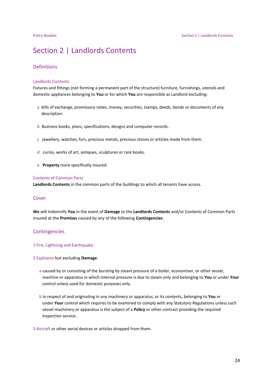## Section 2 | Landlords Contents

### Definitions

#### Landlords Contents

Fixtures and fittings (not forming a permanent part of the structure) furniture, furnishings, utensils and domestic appliances belonging to **You** or for which **You** are responsible as Landlord excluding:

- a bills of exchange, promissory notes, money, securities, stamps, deeds, bonds or documents of any description.
- b Business books, plans, specifications, designs and computer records.
- c jewellery, watches, furs, precious metals, precious stones or articles made from them.
- d curios, works of art, antiques, sculptures or rare books.
- e **Property** more specifically insured.

#### Contents of Common Parts

**Landlords Contents** in the common parts of the buildings to which all tenants have access.

#### Cover

**We** will Indemnify **You** in the event of **Damage** to the **Landlords Contents** and/or Contents of Common Parts insured at the **Premises** caused by any of the following **Contingencies**:

#### **Contingencies**

#### 1 Fire, Lightning and Earthquake

#### 2 Explosion but excluding **Damage**:

- a caused by or consisting of the bursting by steam pressure of a boiler, economiser, or other vessel, machine or apparatus in which internal pressure is due to steam only and belonging to **You** or under **Your** control unless used for domestic purposes only.
- b in respect of and originating in any machinery or apparatus, or its contents, belonging to **You** or under **Your** control which requires to be examined to comply with any Statutory Regulations unless such vessel machinery or apparatus is the subject of a **Policy** or other contract providing the required inspection service.

3 Aircraft or other aerial devices or articles dropped from them.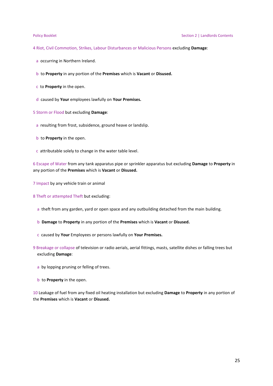- 4 Riot, Civil Commotion, Strikes, Labour Disturbances or Malicious Persons excluding **Damage**:
	- a occurring in Northern Ireland.
	- b to **Property** in any portion of the **Premises** which is **Vacant** or **Disused.**
	- c to **Property** in the open.
	- d caused by **Your** employees lawfully on **Your Premises.**
- 5 Storm or Flood but excluding **Damage**:
	- a resulting from frost, subsidence, ground heave or landslip.
	- b to **Property** in the open.
	- c attributable solely to change in the water table level.

6 Escape of Water from any tank apparatus pipe or sprinkler apparatus but excluding **Damage** to **Property** in any portion of the **Premises** which is **Vacant** or **Disused.**

- 7 Impact by any vehicle train or animal
- 8 Theft or attempted Theft but excluding:
	- a theft from any garden, yard or open space and any outbuilding detached from the main building.
	- b **Damage** to **Property** in any portion of the **Premises** which is **Vacant** or **Disused.**
	- c caused by **Your** Employees or persons lawfully on **Your Premises.**
- 9 Breakage or collapse of television or radio aerials, aerial fittings, masts, satellite dishes or falling trees but excluding **Damage**:
	- a by lopping pruning or felling of trees.
	- b to **Property** in the open.

10 Leakage of fuel from any fixed oil heating installation but excluding **Damage** to **Property** in any portion of the **Premises** which is **Vacant** or **Disused.**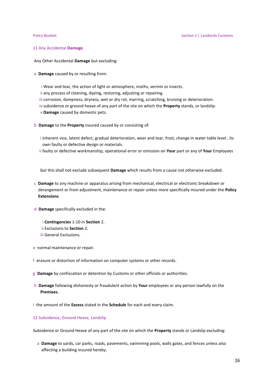#### 11 Any Accidental **Damage**

Any Other Accidental **Damage** but excluding:

a **Damage** caused by or resulting from:

i Wear and tear, the action of light or atmosphere, moths, vermin or insects.

ii any process of cleaning, dyeing, restoring, adjusting or repairing.

iii corrosion, dampness, dryness, wet or dry rot, marring, scratching, bruising or deterioration.

- iv subsidence or ground heave of any part of the site on which the **Property** stands, or landslip.
- v **Damage** caused by domestic pets.
- b **Damage** to the **Property** insured caused by or consisting of:
	- i inherent vice, latent defect, gradual deterioration, wear and tear, frost, change in water table level , its own faulty or defective design or materials.
	- ii faulty or defective workmanship, operational error or omission on **Your** part or any of **Your** Employees

but this shall not exclude subsequent **Damage** which results from a cause not otherwise excluded.

- c **Damage** to any machine or apparatus arising from mechanical, electrical or electronic breakdown or derangement or from adjustment, maintenance or repair unless more specifically insured under the **Policy Extensions**.
- d **Damage** specifically excluded in the:
	- i **Contingencies** 1-10 in **Section** 2. ii Exclusions to **Section** 2. iii General Exclusions.
	-
- e normal maintenance or repair.
- f erasure or distortion of information on computer systems or other records.
- g **Damage** by confiscation or detention by Customs or other officials or authorities.
- h **Damage** following dishonesty or fraudulent action by **Your** employees or any person lawfully on the **Premises.**
- I the amount of the **Excess** stated in the **Schedule** for each and every claim.

#### 12 Subsidence, Ground Heave, Landslip

Subsidence or Ground Heave of any part of the site on which the **Property** stands or Landslip excluding:

 a **Damage** to yards, car parks, roads, pavements, swimming pools, walls gates, and fences unless also affecting a building insured hereby.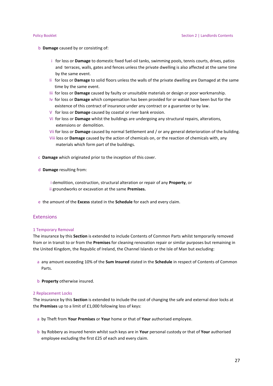- b **Damage** caused by or consisting of:
	- i for loss or **Damage** to domestic fixed fuel-oil tanks, swimming pools, tennis courts, drives, patios and terraces, walls, gates and fences unless the private dwelling is also affected at the same time by the same event.
	- Ii for loss or **Damage** to solid floors unless the walls of the private dwelling are Damaged at the same time by the same event.
	- Iii for loss or **Damage** caused by faulty or unsuitable materials or design or poor workmanship.
	- Iv for loss or **Damage** which compensation has been provided for or would have been but for the existence of this contract of insurance under any contract or a guarantee or by law.
	- V for loss or **Damage** caused by coastal or river bank erosion.
	- Vi for loss or **Damage** whilst the buildings are undergoing any structural repairs, alterations, extensions or demolition.
	- Vii for loss or **Damage** caused by normal Settlement and / or any general deterioration of the building.
	- Viii loss or **Damage** caused by the action of chemicals on, or the reaction of chemicals with, any materials which form part of the buildings.
- c **Damage** which originated prior to the inception of this cover.
- d **Damage** resulting from:
	- i demolition, construction, structural alteration or repair of any **Property**, or ii groundworks or excavation at the same **Premises.**
- e the amount of the **Excess** stated in the **Schedule** for each and every claim.

#### Extensions

#### 1 Temporary Removal

The insurance by this **Section** is extended to include Contents of Common Parts whilst temporarily removed from or in transit to or from the **Premises** for cleaning renovation repair or similar purposes but remaining in the United Kingdom, the Republic of Ireland, the Channel Islands or the Isle of Man but excluding:

- a any amount exceeding 10% of the **Sum Insured** stated in the **Schedule** in respect of Contents of Common Parts.
- b **Property** otherwise insured.

#### 2 Replacement Locks

The insurance by this **Section** is extended to include the cost of changing the safe and external door locks at the **Premises** up to a limit of £1,000 following loss of keys:

- a by Theft from **Your Premises** or **Your** home or that of **Your** authorised employee.
- b by Robbery as insured herein whilst such keys are in **Your** personal custody or that of **Your** authorised employee excluding the first £25 of each and every claim.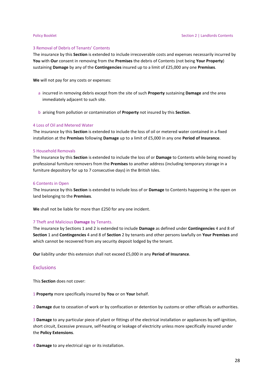#### 3 Removal of Debris of Tenants' Contents

The insurance by this **Section** is extended to include irrecoverable costs and expenses necessarily incurred by **You** with **Our** consent in removing from the **Premises** the debris of Contents (not being **Your Property**) sustaining **Damage** by any of the **Contingencies** insured up to a limit of £25,000 any one **Premises**.

**We** will not pay for any costs or expenses:

- a incurred in removing debris except from the site of such **Property** sustaining **Damage** and the area immediately adjacent to such site.
- b arising from pollution or contamination of **Property** not insured by this **Section**.

#### 4 Loss of Oil and Metered Water

The insurance by this **Section** is extended to include the loss of oil or metered water contained in a fixed installation at the **Premises** following **Damage** up to a limit of £5,000 in any one **Period of Insurance**.

#### 5 Household Removals

The Insurance by this **Section** is extended to include the loss of or **Damage** to Contents while being moved by professional furniture removers from the **Premises** to another address (including temporary storage in a furniture depository for up to 7 consecutive days) in the British Isles.

#### 6 Contents in Open

The Insurance by this **Section** is extended to include loss of or **Damage** to Contents happening in the open on land belonging to the **Premises**.

**We** shall not be liable for more than £250 for any one incident.

#### 7 Theft and Malicious **Damage** by Tenants.

The insurance by Sections 1 and 2 is extended to include **Damage** as defined under **Contingencies** 4 and 8 of **Section** 1 and **Contingencies** 4 and 8 of **Section** 2 by tenants and other persons lawfully on **Your Premises** and which cannot be recovered from any security deposit lodged by the tenant.

**Our** liability under this extension shall not exceed £5,000 in any **Period of Insurance**.

### **Exclusions**

This **Section** does not cover:

1 **Property** more specifically insured by **You** or on **Your** behalf.

2 **Damage** due to cessation of work or by confiscation or detention by customs or other officials or authorities.

3 **Damage** to any particular piece of plant or fittings of the electrical installation or appliances by self-ignition, short circuit, Excessive pressure, self-heating or leakage of electricity unless more specifically insured under the **Policy Extensions**.

4 **Damage** to any electrical sign or its installation.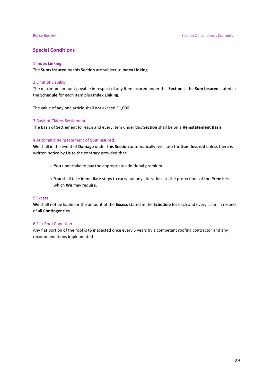### **Special Conditions**

### 1 **Index Linking.**

The **Sums Insured** by this **Section** are subject to **Index Linking**.

#### 2 Limit of Liability

The maximum amount payable in respect of any Item insured under this **Section** is the **Sum Insured** stated in the **Schedule** for each item plus **Index Linking**.

The value of any one article shall not exceed £1,000.

#### 3 Basis of Claims Settlement.

The Basis of Settlement for each and every Item under this **Section** shall be on a **Reinstatement Basis**.

#### 4 Automatic Reinstatement of **Sum Insured.**

**We** shall in the event of **Damage** under this **Section** automatically reinstate the **Sum Insured** unless there is written notice by **Us** to the contrary provided that:

- a **You** undertake to pay the appropriate additional premium
- b **You** shall take immediate steps to carry out any alterations to the protections of the **Premises** which **We** may require.

### 5 **Excess**

**We** shall not be liable for the amount of the **Excess** stated in the **Schedule** for each and every claim in respect of all **Contingencies.**

#### 6 Flat Roof Condition

Any flat portion of the roof is to inspected once every 5 years by a competent roofing contractor and any recommendations implemented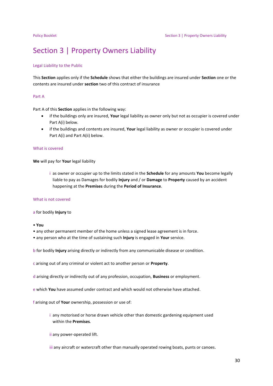## Section 3 | Property Owners Liability

#### Legal Liability to the Public

This **Section** applies only if the **Schedule** shows that either the buildings are insured under **Section** one or the contents are insured under **section** two of this contract of insurance

#### Part A

Part A of this **Section** applies in the following way:

- if the buildings only are insured, **Your** legal liability as owner only but not as occupier is covered under Part A(i) below.
- if the buildings and contents are insured, **Your** legal liability as owner or occupier is covered under Part A(i) and Part A(ii) below.

### What is covered

**We** will pay for **Your** legal liability

i as owner or occupier up to the limits stated in the **Schedule** for any amounts **You** become legally liable to pay as Damages for bodily **Injury** and / or **Damage** to **Property** caused by an accident happening at the **Premises** during the **Period of Insurance**.

#### What is not covered

#### a for bodily **Injury** to

• **You**

- any other permanent member of the home unless a signed lease agreement is in force.
- any person who at the time of sustaining such **Injury** is engaged in **Your** service.
- b for bodily **Injury** arising directly or indirectly from any communicable disease or condition.
- c arising out of any criminal or violent act to another person or **Property**.
- d arising directly or indirectly out of any profession, occupation, **Business** or employment.
- e which **You** have assumed under contract and which would not otherwise have attached.

f arising out of **Your** ownership, possession or use of:

i any motorised or horse drawn vehicle other than domestic gardening equipment used within the **Premises**.

ii any power-operated lift.

iii any aircraft or watercraft other than manually operated rowing boats, punts or canoes.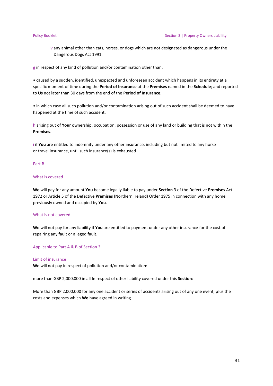iv any animal other than cats, horses, or dogs which are not designated as dangerous under the Dangerous Dogs Act 1991.

g in respect of any kind of pollution and/or contamination other than:

• caused by a sudden, identified, unexpected and unforeseen accident which happens in its entirety at a specific moment of time during the **Period of Insurance** at the **Premises** named in the **Schedule**; and reported to **Us** not later than 30 days from the end of the **Period of Insurance**;

• in which case all such pollution and/or contamination arising out of such accident shall be deemed to have happened at the time of such accident.

h arising out of **Your** ownership, occupation, possession or use of any land or building that is not within the **Premises**.

i if **You** are entitled to indemnity under any other insurance, including but not limited to any horse or travel insurance, until such insurance(s) is exhausted

#### Part B

### What is covered

**We** will pay for any amount **You** become legally liable to pay under **Section** 3 of the Defective **Premises** Act 1972 or Article 5 of the Defective **Premises** (Northern Ireland) Order 1975 in connection with any home previously owned and occupied by **You**.

#### What is not covered

**We** will not pay for any liability if **You** are entitled to payment under any other insurance for the cost of repairing any fault or alleged fault.

#### Applicable to Part A & B of Section 3

### Limit of insurance

**We** will not pay in respect of pollution and/or contamination:

more than GBP 2,000,000 in all In respect of other liability covered under this **Section**:

More than GBP 2,000,000 for any one accident or series of accidents arising out of any one event, plus the costs and expenses which **We** have agreed in writing.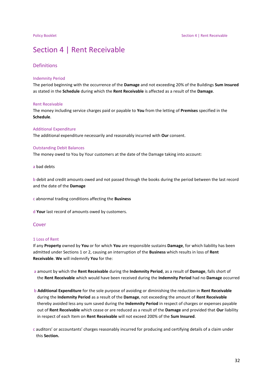## Section 4 | Rent Receivable

### Definitions

#### Indemnity Period

The period beginning with the occurrence of the **Damage** and not exceeding 20% of the Buildings **Sum Insured** as stated in the **Schedule** during which the **Rent Receivable** is affected as a result of the **Damage**.

#### Rent Receivable

The money including service charges paid or payable to **You** from the letting of **Premises** specified in the **Schedule**.

#### Additional Expenditure

The additional expenditure necessarily and reasonably incurred with **Our** consent.

#### Outstanding Debit Balances

The money owed to You by Your customers at the date of the Damage taking into account:

a bad debts

b debit and credit amounts owed and not passed through the books during the period between the last record and the date of the **Damage**

c abnormal trading conditions affecting the **Business**

d **Your** last record of amounts owed by customers.

#### Cover

#### 1 Loss of Rent

If any **Property** owned by **You** or for which **You** are responsible sustains **Damage**, for which liability has been admitted under Sections 1 or 2, causing an interruption of the **Business** which results in loss of **Rent Receivable**. **We** will indemnify **You** for the:

- a amount by which the **Rent Receivable** during the **Indemnity Period**, as a result of **Damage**, falls short of the **Rent Receivable** which would have been received during the **Indemnity Period** had no **Damage** occurred
- b **Additional Expenditure** for the sole purpose of avoiding or diminishing the reduction in **Rent Receivable** during the **Indemnity Period** as a result of the **Damage**, not exceeding the amount of **Rent Receivable** thereby avoided less any sum saved during the **Indemnity Period** in respect of charges or expenses payable out of **Rent Receivable** which cease or are reduced as a result of the **Damage** and provided that **Our** liability in respect of each Item on **Rent Receivable** will not exceed 200% of the **Sum Insured**.
- c auditors' or accountants' charges reasonably incurred for producing and certifying details of a claim under this **Section.**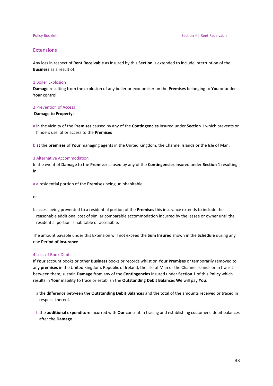#### Extensions

Any loss in respect of **Rent Receivable** as insured by this **Section** is extended to include interruption of the **Business** as a result of:

#### 1 Boiler Explosion

**Damage** resulting from the explosion of any boiler or economiser on the **Premises** belonging to **You** or under **Your** control.

### 2 Prevention of Access

### **Damage to Property:**

a in the vicinity of the **Premises** caused by any of the **Contingencies** insured under **Section** 1 which prevents or hinders use of or access to the **Premises**

b at the **premises** of **Your** managing agents in the United Kingdom, the Channel Islands or the Isle of Man.

#### 3 Alternative Accommodation

In the event of **Damage** to the **Premises** caused by any of the **Contingencies** insured under **Section** 1 resulting in:

a a residential portion of the **Premises** being uninhabitable

or

b access being prevented to a residential portion of the **Premises** this insurance extends to include the reasonable additional cost of similar comparable accommodation incurred by the lessee or owner until the residential portion is habitable or accessible.

The amount payable under this Extension will not exceed the **Sum Insured** shown in the **Schedule** during any one **Period of Insurance**.

#### 4 Loss of Book Debts

If **Your** account books or other **Business** books or records whilst on **Your Premises** or temporarily removed to any **premises** in the United Kingdom, Republic of Ireland, the Isle of Man or the Channel Islands or in transit between them, sustain **Damage** from any of the **Contingencies** insured under **Section** 1 of this **Policy** which results in **Your** inability to trace or establish the **Outstanding Debit Balance**s **We** will pay **You**:

- a the difference between the **Outstanding Debit Balance**s and the total of the amounts received or traced in respect thereof.
- b the **additional expenditure** incurred with **Our** consent in tracing and establishing customers' debit balances after the **Damage**.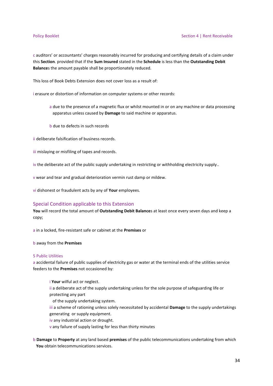c auditors' or accountants' charges reasonably incurred for producing and certifying details of a claim under this **Section**. provided that if the **Sum Insured** stated in the **Schedule** is less than the **Outstanding Debit Balance**s the amount payable shall be proportionately reduced.

This loss of Book Debts Extension does not cover loss as a result of:

i erasure or distortion of information on computer systems or other records:

- a due to the presence of a magnetic flux or whilst mounted in or on any machine or data processing apparatus unless caused by **Damage** to said machine or apparatus.
- b due to defects in such records

ii deliberate falsification of business records.

iii mislaying or misfiling of tapes and records.

iv the deliberate act of the public supply undertaking in restricting or withholding electricity supply..

v wear and tear and gradual deterioration vermin rust damp or mildew.

vi dishonest or fraudulent acts by any of **Your** employees.

### Special Condition applicable to this Extension

**You** will record the total amount of **Outstanding Debit Balance**s at least once every seven days and keep a copy;

a in a locked, fire-resistant safe or cabinet at the **Premises** or

### b away from the **Premises**

#### 5 Public Utilities

a accidental failure of public supplies of electricity gas or water at the terminal ends of the utilities service feeders to the **Premises** not occasioned by:

i **Your** wilful act or neglect. ii a deliberate act of the supply undertaking unless for the sole purpose of safeguarding life or protecting any part of the supply undertaking system. iii a scheme of rationing unless solely necessitated by accidental **Damage** to the supply undertakings

- generating or supply equipment.
- iv any industrial action or drought.

v any failure of supply lasting for less than thirty minutes

b **Damage** to **Property** at any land based **premises** of the public telecommunications undertaking from which **You** obtain telecommunications services.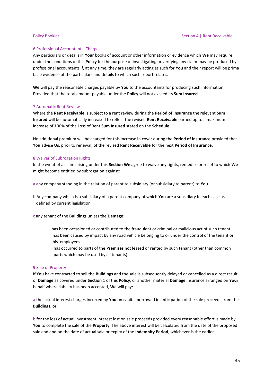#### 6 Professional Accountants' Charges

Any particulars or details in **Your** books of account or other information or evidence which **We** may require under the conditions of this **Policy** for the purpose of investigating or verifying any claim may be produced by professional accountants if, at any time, they are regularly acting as such for **You** and their report will be prima facie evidence of the particulars and details to which such report relates.

**We** will pay the reasonable charges payable by **You** to the accountants for producing such information. Provided that the total amount payable under the **Policy** will not exceed its **Sum Insured**.

#### 7 Automatic Rent Review

Where the **Rent Receivable** is subject to a rent review during the **Period of Insurance** the relevant **Sum Insured** will be automatically increased to reflect the revised **Rent Receivable** earned up to a maximum increase of 100% of the Loss of Rent **Sum Insured** stated on the **Schedule**.

No additional premium will be charged for this increase in cover during the **Period of Insurance** provided that **You** advise **Us**, prior to renewal, of the revised **Rent Receivable** for the next **Period of Insurance**.

#### 8 Waiver of Subrogation Rights

In the event of a claim arising under this **Section We** agree to waive any rights, remedies or relief to which **We** might become entitled by subrogation against:

a any company standing in the relation of parent to subsidiary (or subsidiary to parent) to **You**

b Any company which is a subsidiary of a parent company of which **You** are a subsidiary In each case as defined by current legislation

c any tenant of the **Buildings** unless the **Damage**:

- i has been occasioned or contributed to the fraudulent or criminal or malicious act of such tenant ii has been caused by impact by any road vehicle belonging to or under the control of the tenant or his employees
- iii has occurred to parts of the **Premises** not leased or rented by such tenant (other than common parts which may be used by all tenants).

#### 9 Sale of Property

If **You** have contracted to sell the **Buildings** and the sale is subsequently delayed or cancelled as a direct result of **Damage** as covered under **Section** 1 of this **Policy**, or another material **Damage** insurance arranged on **Your** behalf where liability has been accepted, **We** will pay:

a the actual interest charges incurred by **You** on capital borrowed in anticipation of the sale proceeds from the **Buildings**, or

b for the loss of actual investment interest lost on sale proceeds provided every reasonable effort is made by **You** to complete the sale of the **Property**. The above interest will be calculated from the date of the proposed sale and end on the date of actual sale or expiry of the **Indemnity Period**, whichever is the earlier.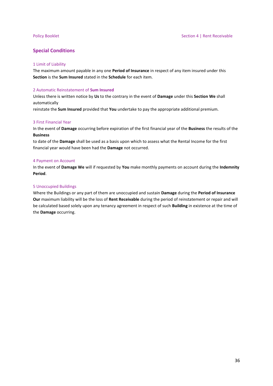### **Special Conditions**

### 1 Limit of Liability

The maximum amount payable in any one **Period of Insurance** in respect of any item insured under this **Section** is the **Sum Insured** stated in the **Schedule** for each item.

#### 2 Automatic Reinstatement of **Sum Insured**

Unless there is written notice by **Us** to the contrary in the event of **Damage** under this **Section We** shall automatically

reinstate the **Sum Insured** provided that **You** undertake to pay the appropriate additional premium.

#### 3 First Financial Year

In the event of **Damage** occurring before expiration of the first financial year of the **Business** the results of the **Business**

to date of the **Damage** shall be used as a basis upon which to assess what the Rental Income for the first financial year would have been had the **Damage** not occurred.

#### 4 Payment on Account

In the event of **Damage We** will if requested by **You** make monthly payments on account during the **Indemnity Period**.

#### 5 Unoccupied Buildings

Where the Buildings or any part of them are unoccupied and sustain **Damage** during the **Period of Insurance Our** maximum liability will be the loss of **Rent Receivable** during the period of reinstatement or repair and will be calculated based solely upon any tenancy agreement in respect of such **Building** in existence at the time of the **Damage** occurring.